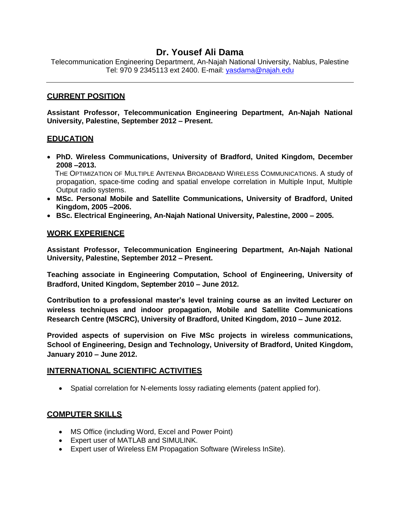# **Dr. Yousef Ali Dama**

Telecommunication Engineering Department, An-Najah National University, Nablus, Palestine Tel: 970 9 2345113 ext 2400. E-mail: [yasdama@najah.edu](mailto:yasdama@najah.edu)

### **CURRENT POSITION**

**Assistant Professor, Telecommunication Engineering Department, An-Najah National University, Palestine, September 2012 – Present.**

### **EDUCATION**

- **PhD. Wireless Communications, University of Bradford, United Kingdom, December 2008 –2013.** THE OPTIMIZATION OF MULTIPLE ANTENNA BROADBAND WIRELESS COMMUNICATIONS. A study of
	- propagation, space-time coding and spatial envelope correlation in Multiple Input, Multiple Output radio systems.
- **MSc. Personal Mobile and Satellite Communications, University of Bradford, United Kingdom, 2005 –2006.**
- **BSc. Electrical Engineering, An-Najah National University, Palestine, 2000 – 2005.**

### **WORK EXPERIENCE**

**Assistant Professor, Telecommunication Engineering Department, An-Najah National University, Palestine, September 2012 – Present.**

**Teaching associate in Engineering Computation, School of Engineering, University of Bradford, United Kingdom, September 2010 – June 2012.** 

**Contribution to a professional master's level training course as an invited Lecturer on wireless techniques and indoor propagation, Mobile and Satellite Communications Research Centre (MSCRC), University of Bradford, United Kingdom, 2010 – June 2012.** 

**Provided aspects of supervision on Five MSc projects in wireless communications, School of Engineering, Design and Technology, University of Bradford, United Kingdom, January 2010 – June 2012.**

#### **INTERNATIONAL SCIENTIFIC ACTIVITIES**

• Spatial correlation for N-elements lossy radiating elements (patent applied for).

## **COMPUTER SKILLS**

- MS Office (including Word, Excel and Power Point)
- Expert user of MATLAB and SIMULINK.
- Expert user of Wireless EM Propagation Software (Wireless InSite).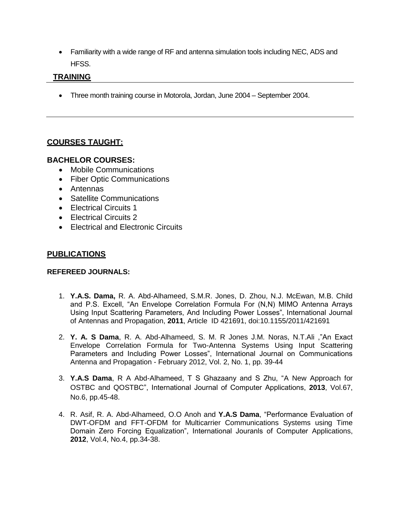Familiarity with a wide range of RF and antenna simulation tools including NEC, ADS and HFSS.

# **TRAINING**

Three month training course in Motorola, Jordan, June 2004 – September 2004.

# **COURSES TAUGHT:**

## **BACHELOR COURSES:**

- Mobile Communications
- Fiber Optic Communications
- Antennas
- Satellite Communications
- Electrical Circuits 1
- Electrical Circuits 2
- Electrical and Electronic Circuits

## **PUBLICATIONS**

#### **REFEREED JOURNALS:**

- 1. **Y.A.S. Dama,** R. A. Abd-Alhameed, S.M.R. Jones, D. Zhou, N.J. McEwan, M.B. Child and P.S. Excell, "An Envelope Correlation Formula For (N,N) MIMO Antenna Arrays Using Input Scattering Parameters, And Including Power Losses", International Journal of Antennas and Propagation, **2011**, Article ID 421691, doi:10.1155/2011/421691
- 2. **Y. A. S Dama**, R. A. Abd-Alhameed, S. M. R Jones J.M. Noras, N.T.Ali ,"An Exact Envelope Correlation Formula for Two-Antenna Systems Using Input Scattering Parameters and Including Power Losses", International Journal on Communications Antenna and Propagation - February 2012, Vol. 2, No. 1, pp. 39-44
- 3. **Y.A.S Dama**, R A Abd-Alhameed, T S Ghazaany and S Zhu, "A New Approach for OSTBC and QOSTBC", International Journal of Computer Applications, **2013**, Vol.67, No.6, pp.45-48.
- 4. R. Asif, R. A. Abd-Alhameed, O.O Anoh and **Y.A.S Dama**, "Performance Evaluation of DWT-OFDM and FFT-OFDM for Multicarrier Communications Systems using Time Domain Zero Forcing Equalization", International Jouranls of Computer Applications, **2012**, Vol.4, No.4, pp.34-38.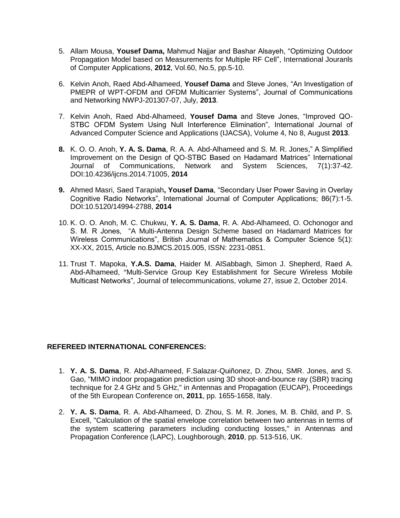- 5. Allam Mousa, **Yousef Dama,** Mahmud Najjar and Bashar Alsayeh, "Optimizing Outdoor Propagation Model based on Measurements for Multiple RF Cell", International Jouranls of Computer Applications, **2012**, Vol.60, No.5, pp.5-10.
- 6. Kelvin Anoh, Raed Abd-Alhameed, **Yousef Dama** and Steve Jones, "An Investigation of PMEPR of WPT-OFDM and OFDM Multicarrier Systems", Journal of Communications and Networking NWPJ-201307-07, July, **2013**.
- 7. Kelvin Anoh, Raed Abd-Alhameed, **Yousef Dama** and Steve Jones, "Improved QO-STBC OFDM System Using Null Interference Elimination", International Journal of Advanced Computer Science and Applications (IJACSA), Volume 4, No 8, August **2013**.
- **8.** [K. O. O. Anoh,](https://www.researchgate.net/researcher/2042647100_K_O_O_Anoh/) **[Y. A. S. Dama](https://www.researchgate.net/researcher/57512453_Y_A_S_Dama/)**, [R. A. A. Abd-Alhameed](https://www.researchgate.net/researcher/6505465_R_A_A_Abd-Alhameed/) and [S. M. R. Jones,](https://www.researchgate.net/researcher/56891380_S_M_R_Jones/)" A Simplified Improvement on the Design of QO-STBC Based on Hadamard Matrices" International Journal of Communications, Network and System Sciences, 7(1):37-42. DOI:10.4236/ijcns.2014.71005, **2014**
- **9.** [Ahmed Masri,](https://www.researchgate.net/researcher/2040853064_Ahmed_Masri/) [Saed Tarapiah](https://www.researchgate.net/researcher/74797349_Saed_Tarapiah/)**, [Yousef Dama](https://www.researchgate.net/researcher/2040933579_Yousef_Dama/)**, "Secondary User Power Saving in Overlay Cognitive Radio Networks", International Journal of Computer Applications; 86(7):1-5. DOI:10.5120/14994-2788, **2014**
- 10. K. O. O. Anoh, M. C. Chukwu, **Y. A. S. Dama**, R. A. Abd-Alhameed, O. Ochonogor and S. M. R Jones, "A Multi-Antenna Design Scheme based on Hadamard Matrices for Wireless Communications", British Journal of Mathematics & Computer Science 5(1): XX-XX, 2015, Article no.BJMCS.2015.005, ISSN: 2231-0851.
- 11. Trust T. Mapoka, **Y.A.S. Dama**, Haider M. AlSabbagh, Simon J. Shepherd, Raed A. Abd-Alhameed, "Multi-Service Group Key Establishment for Secure Wireless Mobile Multicast Networks", Journal of telecommunications, volume 27, issue 2, October 2014.

#### **REFEREED INTERNATIONAL CONFERENCES:**

- 1. **Y. A. S. Dama**, R. Abd-Alhameed, F.Salazar-Quiñonez, D. Zhou, SMR. Jones, and S. Gao, "MIMO indoor propagation prediction using 3D shoot-and-bounce ray (SBR) tracing technique for 2.4 GHz and 5 GHz," in Antennas and Propagation (EUCAP), Proceedings of the 5th European Conference on, **2011**, pp. 1655-1658, Italy.
- 2. **Y. A. S. Dama**, R. A. Abd-Alhameed, D. Zhou, S. M. R. Jones, M. B. Child, and P. S. Excell, "Calculation of the spatial envelope correlation between two antennas in terms of the system scattering parameters including conducting losses," in Antennas and Propagation Conference (LAPC), Loughborough, **2010**, pp. 513-516, UK.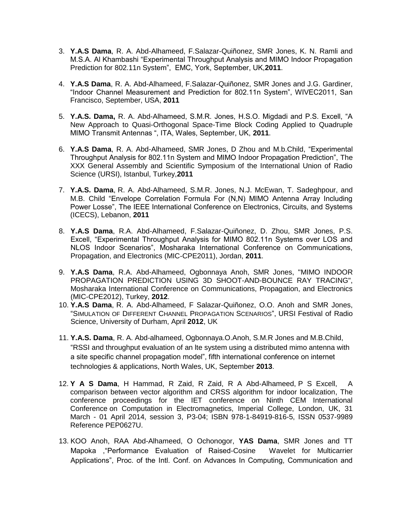- 3. **Y.A.S Dama**, R. A. Abd-Alhameed, F.Salazar-Quiñonez, SMR Jones, K. N. Ramli and M.S.A. Al Khambashi "Experimental Throughput Analysis and MIMO Indoor Propagation Prediction for 802.11n System", EMC, York, September, UK,**2011**.
- 4. **Y.A.S Dama**, R. A. Abd-Alhameed, F.Salazar-Quiñonez, SMR Jones and J.G. Gardiner, "Indoor Channel Measurement and Prediction for 802.11n System", WIVEC2011, San Francisco, September, USA, **2011**
- 5. **Y.A.S. Dama,** R. A. Abd-Alhameed, S.M.R. Jones, H.S.O. Migdadi and P.S. Excell, "A New Approach to Quasi-Orthogonal Space-Time Block Coding Applied to Quadruple MIMO Transmit Antennas ", ITA, Wales, September, UK, **2011**.
- 6. **Y.A.S Dama**, R. A. Abd-Alhameed, SMR Jones, D Zhou and M.b.Child, "Experimental Throughput Analysis for 802.11n System and MIMO Indoor Propagation Prediction", The XXX General Assembly and Scientific Symposium of the International Union of Radio Science (URSI), Istanbul, Turkey,**2011**
- 7. **Y.A.S. Dama**, R. A. Abd-Alhameed, S.M.R. Jones, N.J. McEwan, T. Sadeghpour, and M.B. Child "Envelope Correlation Formula For (N,N) MIMO Antenna Array Including Power Losse", The IEEE International Conference on Electronics, Circuits, and Systems (ICECS), Lebanon, **2011**
- 8. **Y.A.S Dama**, R.A. Abd-Alhameed, F.Salazar-Quiñonez, D. Zhou, SMR Jones, P.S. Excell, "Experimental Throughput Analysis for MIMO 802.11n Systems over LOS and NLOS Indoor Scenarios", Mosharaka International Conference on Communications, Propagation, and Electronics (MIC-CPE2011), Jordan, **2011**.
- 9. **[Y.A.S Dama](http://mosharaka.net/?Cat=Community&Pag=UserSummary&User=386)**, R.A. Abd-Alhameed, [Ogbonnaya Anoh,](http://mosharaka.net/?Cat=Community&Pag=UserSummary&User=1268) [SMR Jones,](http://mosharaka.net/?Cat=Community&Pag=UserSummary&User=533) "MIMO INDOOR PROPAGATION PREDICTION USING 3D SHOOT-AND-BOUNCE RAY TRACING", Mosharaka International Conference on Communications, Propagation, and Electronics (MIC-CPE2012), Turkey, **2012**.
- 10. **Y.A.S Dama**, R. A. Abd-Alhameed, F Salazar-Quiñonez, O.O. Anoh and SMR Jones, "SIMULATION OF DIFFERENT CHANNEL PROPAGATION SCENARIOS", URSI Festival of Radio Science, University of Durham, April **2012**, UK
- 11. **Y.A.S. Dama**, R. A. Abd-alhameed, Ogbonnaya.O.Anoh, S.M.R Jones and M.B.Child, "RSSI and throughput evaluation of an lte system using a distributed mimo antenna with a site specific channel propagation model", fifth international conference on internet technologies & applications, North Wales, UK, September **2013**.
- 12. **Y A S Dama**, H Hammad, R Zaid, R Zaid, R A Abd-Alhameed, P S Excell, [A](file:///F:/master-cdrom-2013/papers/P3.04.pdf)  [comparison between vector algorithm and CRSS algorithm for indoor localization,](file:///F:/master-cdrom-2013/papers/P3.04.pdf) The conference proceedings for the IET conference on Ninth CEM International Conference on Computation in Electromagnetics, Imperial College, London, UK, 31 March - 01 April 2014, session 3, P3-04; ISBN 978-1-84919-816-5, ISSN 0537-9989 Reference PEP0627U.
- 13. KOO Anoh, RAA Abd-Alhameed, O Ochonogor, **YAS Dama**, SMR Jones and TT Mapoka ,"Performance Evaluation of Raised-Cosine Wavelet for Multicarrier Applications", Proc. of the Intl. Conf. on Advances In Computing, Communication and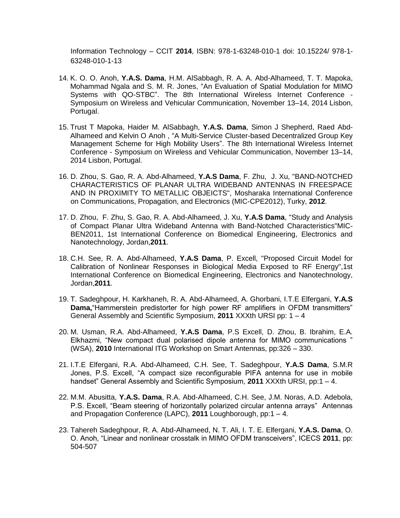Information Technology – CCIT **2014**, ISBN: 978-1-63248-010-1 doi: 10.15224/ 978-1- 63248-010-1-13

- 14. K. O. O. Anoh, **Y.A.S. Dama**, H.M. AlSabbagh, R. A. A. Abd-Alhameed, T. T. Mapoka, Mohammad Ngala and S. M. R. Jones, "An Evaluation of Spatial Modulation for MIMO Systems with QO-STBC". The 8th International Wireless Internet Conference - Symposium on Wireless and Vehicular Communication, November 13–14, 2014 Lisbon, Portugal.
- 15. Trust T Mapoka, Haider M. AlSabbagh, **Y.A.S. Dama**, Simon J Shepherd, Raed Abd-Alhameed and Kelvin O Anoh , "A Multi-Service Cluster-based Decentralized Group Key Management Scheme for High Mobility Users". The 8th International Wireless Internet Conference - Symposium on Wireless and Vehicular Communication, November 13–14, 2014 Lisbon, Portugal.
- 16. D. Zhou, S. Gao, R. A. Abd-Alhameed, **Y.A.S Dama**, F. Zhu, [J. Xu,](http://mosharaka.net/?Cat=Community&Pag=UserSummary&User=998) "BAND-NOTCHED CHARACTERISTICS OF PLANAR ULTRA WIDEBAND ANTENNAS IN FREESPACE AND IN PROXIMITY TO METALLIC OBJEICTS", Mosharaka International Conference on Communications, Propagation, and Electronics (MIC-CPE2012), Turky, **2012**.
- 17. D. Zhou, F. Zhu, S. Gao, R. A. Abd-Alhameed, J. Xu, **Y.A.S Dama**, "Study and Analysis of Compact Planar Ultra Wideband Antenna with Band-Notched Characteristics"MIC-BEN2011, 1st International Conference on Biomedical Engineering, Electronics and Nanotechnology, Jordan,**2011**.
- 18. C.H. See, R. A. Abd-Alhameed, **Y.A.S Dama**, P. Excell, "Proposed Circuit Model for Calibration of Nonlinear Responses in Biological Media Exposed to RF Energy",1st International Conference on Biomedical Engineering, Electronics and Nanotechnology, Jordan,**2011**.
- 19. T. Sadeghpour, H. Karkhaneh, R. A. Abd-Alhameed, A. Ghorbani, I.T.E Elfergani, **Y.A.S Dama,**"Hammerstein predistorter for high power RF amplifiers in OFDM transmitters" General Assembly and Scientific Symposium, **2011** XXXth URSI pp: 1 – 4
- 20. M. Usman, R.A. Abd-Alhameed, **Y.A.S Dama**, P.S Excell, D. Zhou, B. Ibrahim, E.A. Elkhazmi, "New compact dual polarised dipole antenna for MIMO communications " (WSA), **2010** International ITG Workshop on Smart Antennas, pp:326 – 330.
- 21. I.T.E Elfergani, R.A. Abd-Alhameed, C.H. See, T. Sadeghpour, **Y.A.S Dama**, S.M.R Jones, P.S. Excell, "A compact size reconfigurable PIFA antenna for use in mobile handset" General Assembly and Scientific Symposium, **2011** XXXth URSI, pp:1 – 4.
- 22. M.M. Abusitta, **Y.A.S. Dama**, R.A. Abd-Alhameed, C.H. See, J.M. Noras, A.D. Adebola, P.S. Excell, "Beam steering of horizontally polarized circular antenna arrays" Antennas and Propagation Conference (LAPC), **2011** Loughborough, pp:1 – 4.
- 23. Tahereh Sadeghpour, R. A. Abd-Alhameed, N. T. Ali, I. T. E. Elfergani, **Y.A.S. Dama**, O. O. Anoh, "Linear and nonlinear crosstalk in MIMO OFDM transceivers", ICECS **2011**, pp: 504-507